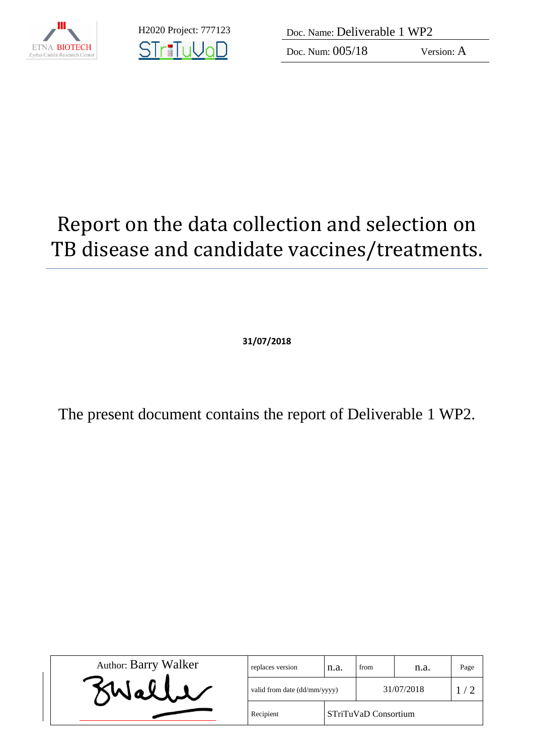

**STriTuVaD** 

H2020 Project: 777123 Doc. Name: Deliverable 1 WP2

Doc. Num:  $005/18$  Version: A

## Report on the data collection and selection on TB disease and candidate vaccines/treatments.

**31/07/2018**

The present document contains the report of Deliverable 1 WP2.